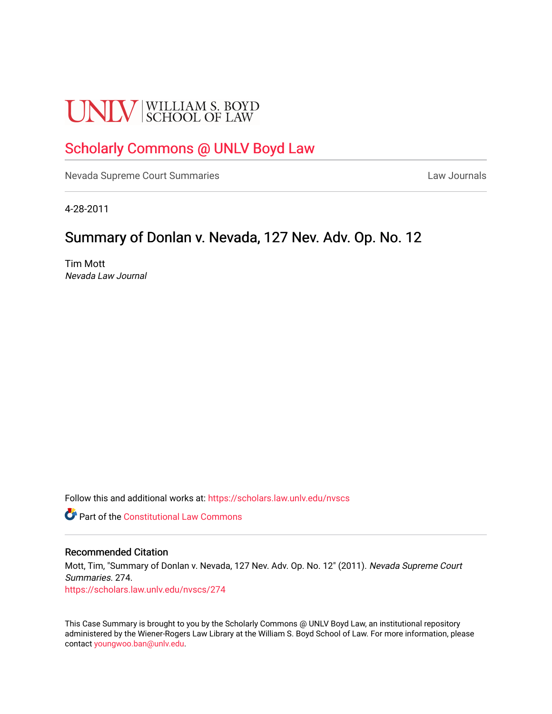# **UNLV** SCHOOL OF LAW

## [Scholarly Commons @ UNLV Boyd Law](https://scholars.law.unlv.edu/)

[Nevada Supreme Court Summaries](https://scholars.law.unlv.edu/nvscs) **Law Journals** Law Journals

4-28-2011

### Summary of Donlan v. Nevada, 127 Nev. Adv. Op. No. 12

Tim Mott Nevada Law Journal

Follow this and additional works at: [https://scholars.law.unlv.edu/nvscs](https://scholars.law.unlv.edu/nvscs?utm_source=scholars.law.unlv.edu%2Fnvscs%2F274&utm_medium=PDF&utm_campaign=PDFCoverPages)

**Part of the Constitutional Law Commons** 

#### Recommended Citation

Mott, Tim, "Summary of Donlan v. Nevada, 127 Nev. Adv. Op. No. 12" (2011). Nevada Supreme Court Summaries. 274. [https://scholars.law.unlv.edu/nvscs/274](https://scholars.law.unlv.edu/nvscs/274?utm_source=scholars.law.unlv.edu%2Fnvscs%2F274&utm_medium=PDF&utm_campaign=PDFCoverPages)

This Case Summary is brought to you by the Scholarly Commons @ UNLV Boyd Law, an institutional repository administered by the Wiener-Rogers Law Library at the William S. Boyd School of Law. For more information, please contact [youngwoo.ban@unlv.edu](mailto:youngwoo.ban@unlv.edu).